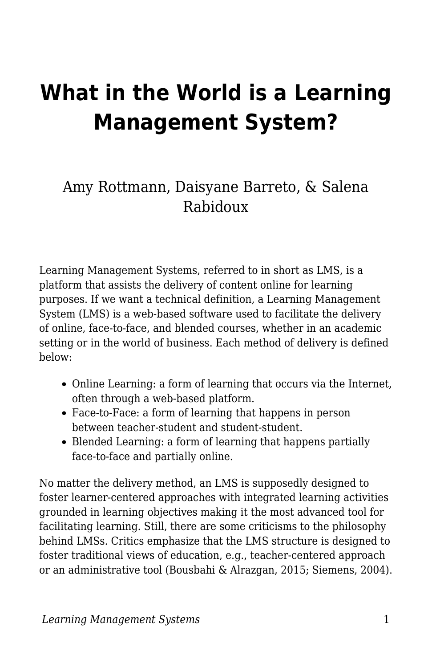# **What in the World is a Learning Management System?**

#### Amy Rottmann, Daisyane Barreto, & Salena Rabidoux

Learning Management Systems, referred to in short as LMS, is a platform that assists the delivery of content online for learning purposes. If we want a technical definition, a Learning Management System (LMS) is a web-based software used to facilitate the delivery of online, face-to-face, and blended courses, whether in an academic setting or in the world of business. Each method of delivery is defined below:

- Online Learning: a form of learning that occurs via the Internet, often through a web-based platform.
- Face-to-Face: a form of learning that happens in person between teacher-student and student-student.
- Blended Learning: a form of learning that happens partially face-to-face and partially online.

No matter the delivery method, an LMS is supposedly designed to foster learner-centered approaches with integrated learning activities grounded in learning objectives making it the most advanced tool for facilitating learning. Still, there are some criticisms to the philosophy behind LMSs. Critics emphasize that the LMS structure is designed to foster traditional views of education, e.g., teacher-centered approach or an administrative tool (Bousbahi & Alrazgan, 2015; Siemens, 2004).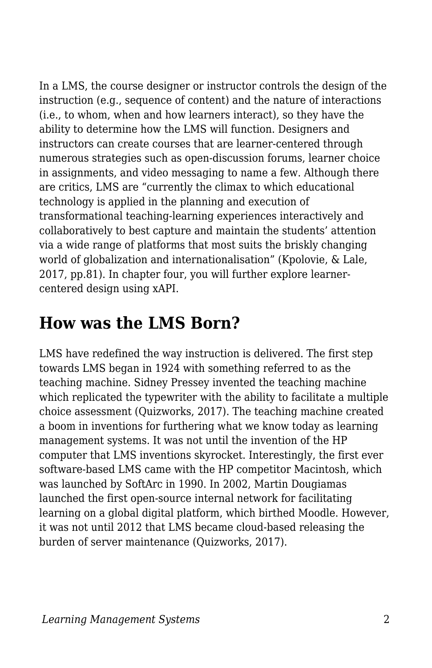In a LMS, the course designer or instructor controls the design of the instruction (e.g., sequence of content) and the nature of interactions (i.e., to whom, when and how learners interact), so they have the ability to determine how the LMS will function. Designers and instructors can create courses that are learner-centered through numerous strategies such as open-discussion forums, learner choice in assignments, and video messaging to name a few. Although there are critics, LMS are "currently the climax to which educational technology is applied in the planning and execution of transformational teaching-learning experiences interactively and collaboratively to best capture and maintain the students' attention via a wide range of platforms that most suits the briskly changing world of globalization and internationalisation" (Kpolovie, & Lale, 2017, pp.81). In chapter four, you will further explore learnercentered design using xAPI.

### **How was the LMS Born?**

LMS have redefined the way instruction is delivered. The first step towards LMS began in 1924 with something referred to as the teaching machine. Sidney Pressey invented the teaching machine which replicated the typewriter with the ability to facilitate a multiple choice assessment (Quizworks, 2017). The teaching machine created a boom in inventions for furthering what we know today as learning management systems. It was not until the invention of the HP computer that LMS inventions skyrocket. Interestingly, the first ever software-based LMS came with the HP competitor Macintosh, which was launched by SoftArc in 1990. In 2002, Martin Dougiamas launched the first open-source internal network for facilitating learning on a global digital platform, which birthed Moodle. However, it was not until 2012 that LMS became cloud-based releasing the burden of server maintenance (Quizworks, 2017).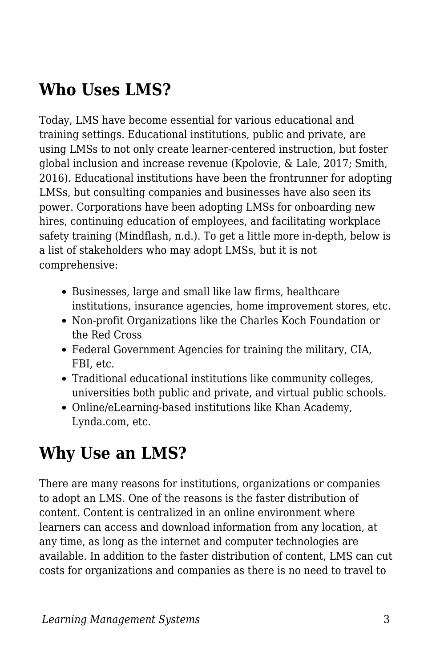# **Who Uses LMS?**

Today, LMS have become essential for various educational and training settings. Educational institutions, public and private, are using LMSs to not only create learner-centered instruction, but foster global inclusion and increase revenue (Kpolovie, & Lale, 2017; Smith, 2016). Educational institutions have been the frontrunner for adopting LMSs, but consulting companies and businesses have also seen its power. Corporations have been adopting LMSs for onboarding new hires, continuing education of employees, and facilitating workplace safety training (Mindflash, n.d.). To get a little more in-depth, below is a list of stakeholders who may adopt LMSs, but it is not comprehensive:

- Businesses, large and small like law firms, healthcare institutions, insurance agencies, home improvement stores, etc.
- Non-profit Organizations like the Charles Koch Foundation or the Red Cross
- Federal Government Agencies for training the military, CIA, FBI, etc.
- Traditional educational institutions like community colleges, universities both public and private, and virtual public schools.
- Online/eLearning-based institutions like Khan Academy, Lynda.com, etc.

## **Why Use an LMS?**

There are many reasons for institutions, organizations or companies to adopt an LMS. One of the reasons is the faster distribution of content. Content is centralized in an online environment where learners can access and download information from any location, at any time, as long as the internet and computer technologies are available. In addition to the faster distribution of content, LMS can cut costs for organizations and companies as there is no need to travel to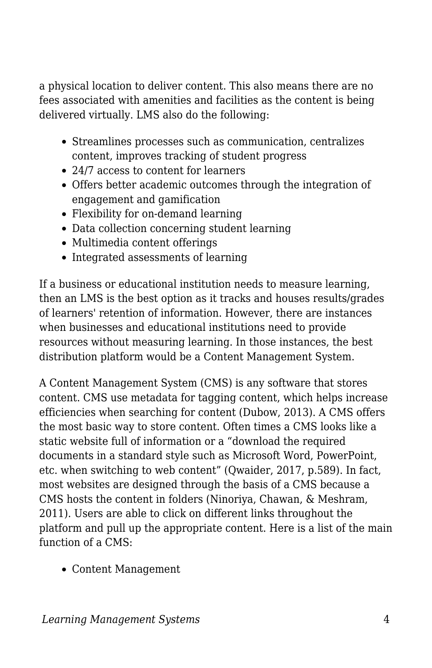a physical location to deliver content. This also means there are no fees associated with amenities and facilities as the content is being delivered virtually. LMS also do the following:

- Streamlines processes such as communication, centralizes content, improves tracking of student progress
- 24/7 access to content for learners
- Offers better academic outcomes through the integration of engagement and gamification
- Flexibility for on-demand learning
- Data collection concerning student learning
- Multimedia content offerings
- Integrated assessments of learning

If a business or educational institution needs to measure learning, then an LMS is the best option as it tracks and houses results/grades of learners' retention of information. However, there are instances when businesses and educational institutions need to provide resources without measuring learning. In those instances, the best distribution platform would be a Content Management System.

A Content Management System (CMS) is any software that stores content. CMS use metadata for tagging content, which helps increase efficiencies when searching for content (Dubow, 2013). A CMS offers the most basic way to store content. Often times a CMS looks like a static website full of information or a "download the required documents in a standard style such as Microsoft Word, PowerPoint, etc. when switching to web content" (Qwaider, 2017, p.589). In fact, most websites are designed through the basis of a CMS because a CMS hosts the content in folders (Ninoriya, Chawan, & Meshram, 2011). Users are able to click on different links throughout the platform and pull up the appropriate content. Here is a list of the main function of a CMS:

Content Management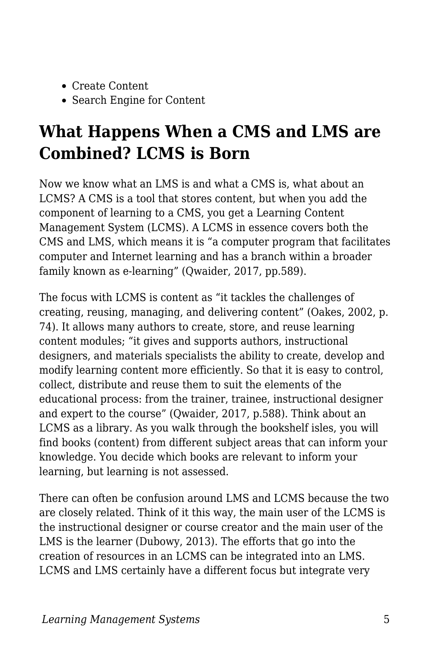- Create Content
- Search Engine for Content

# **What Happens When a CMS and LMS are Combined? LCMS is Born**

Now we know what an LMS is and what a CMS is, what about an LCMS? A CMS is a tool that stores content, but when you add the component of learning to a CMS, you get a Learning Content Management System (LCMS). A LCMS in essence covers both the CMS and LMS, which means it is "a computer program that facilitates computer and Internet learning and has a branch within a broader family known as e-learning" (Qwaider, 2017, pp.589).

The focus with LCMS is content as "it tackles the challenges of creating, reusing, managing, and delivering content" (Oakes, 2002, p. 74). It allows many authors to create, store, and reuse learning content modules; "it gives and supports authors, instructional designers, and materials specialists the ability to create, develop and modify learning content more efficiently. So that it is easy to control, collect, distribute and reuse them to suit the elements of the educational process: from the trainer, trainee, instructional designer and expert to the course" (Qwaider, 2017, p.588). Think about an LCMS as a library. As you walk through the bookshelf isles, you will find books (content) from different subject areas that can inform your knowledge. You decide which books are relevant to inform your learning, but learning is not assessed.

There can often be confusion around LMS and LCMS because the two are closely related. Think of it this way, the main user of the LCMS is the instructional designer or course creator and the main user of the LMS is the learner (Dubowy, 2013). The efforts that go into the creation of resources in an LCMS can be integrated into an LMS. LCMS and LMS certainly have a different focus but integrate very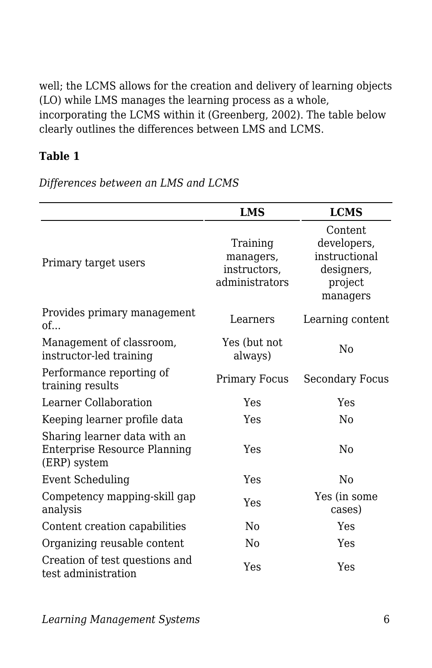well; the LCMS allows for the creation and delivery of learning objects (LO) while LMS manages the learning process as a whole, incorporating the LCMS within it (Greenberg, 2002). The table below clearly outlines the differences between LMS and LCMS.

#### **Table 1**

*Differences between an LMS and LCMS*

|                                                                              | <b>LMS</b>                                              | <b>LCMS</b>                                                                  |  |
|------------------------------------------------------------------------------|---------------------------------------------------------|------------------------------------------------------------------------------|--|
| Primary target users                                                         | Training<br>managers,<br>instructors,<br>administrators | Content<br>developers,<br>instructional<br>designers,<br>project<br>managers |  |
| Provides primary management<br>of                                            | Learners                                                | Learning content                                                             |  |
| Management of classroom,<br>instructor-led training                          | Yes (but not<br>always)                                 | Nο                                                                           |  |
| Performance reporting of<br>training results                                 | Primary Focus                                           | Secondary Focus                                                              |  |
| Learner Collaboration                                                        | Yes                                                     | Yes                                                                          |  |
| Keeping learner profile data                                                 | Yes                                                     | N <sub>0</sub>                                                               |  |
| Sharing learner data with an<br>Enterprise Resource Planning<br>(ERP) system | Yes                                                     | N <sub>0</sub>                                                               |  |
| <b>Event Scheduling</b>                                                      | Yes                                                     | Nο                                                                           |  |
| Competency mapping-skill gap<br>analysis                                     | Yes                                                     | Yes (in some<br>cases)                                                       |  |
| Content creation capabilities                                                | N <sub>0</sub>                                          | Yes                                                                          |  |
| Organizing reusable content                                                  | N <sub>0</sub>                                          | Yes                                                                          |  |
| Creation of test questions and<br>test administration                        | Yes                                                     | Yes                                                                          |  |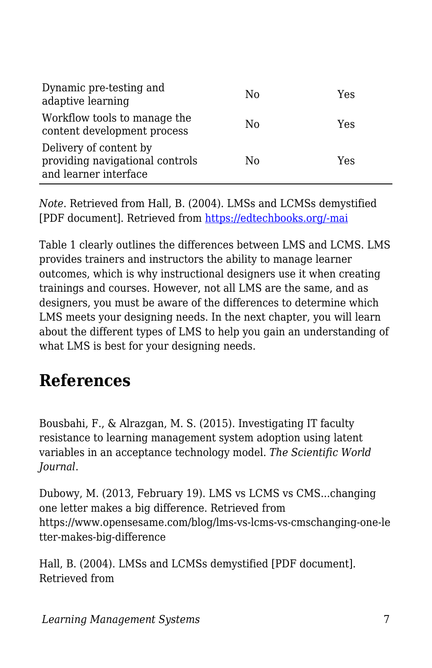| Dynamic pre-testing and<br>adaptive learning                                       | N <sub>0</sub> | Yes |
|------------------------------------------------------------------------------------|----------------|-----|
| Workflow tools to manage the<br>content development process                        | N <sub>0</sub> | Yes |
| Delivery of content by<br>providing navigational controls<br>and learner interface | N <sub>0</sub> | Yes |

*Note*. Retrieved from Hall, B. (2004). LMSs and LCMSs demystified [PDF document]. Retrieved from [https://edtechbooks.org/-mai](http://www.cedma-europe.org/newsletter%20articles/Brandon%20Hall/LMSs%20and%20LCMSs%20Demystified.pdf)

Table 1 clearly outlines the differences between LMS and LCMS. LMS provides trainers and instructors the ability to manage learner outcomes, which is why instructional designers use it when creating trainings and courses. However, not all LMS are the same, and as designers, you must be aware of the differences to determine which LMS meets your designing needs. In the next chapter, you will learn about the different types of LMS to help you gain an understanding of what LMS is best for your designing needs.

### **References**

Bousbahi, F., & Alrazgan, M. S. (2015). Investigating IT faculty resistance to learning management system adoption using latent variables in an acceptance technology model. *The Scientific World Journal*.

Dubowy, M. (2013, February 19). LMS vs LCMS vs CMS...changing one letter makes a big difference. Retrieved from https://www.opensesame.com/blog/lms-vs-lcms-vs-cmschanging-one-le tter-makes-big-difference

Hall, B. (2004). LMSs and LCMSs demystified [PDF document]. Retrieved from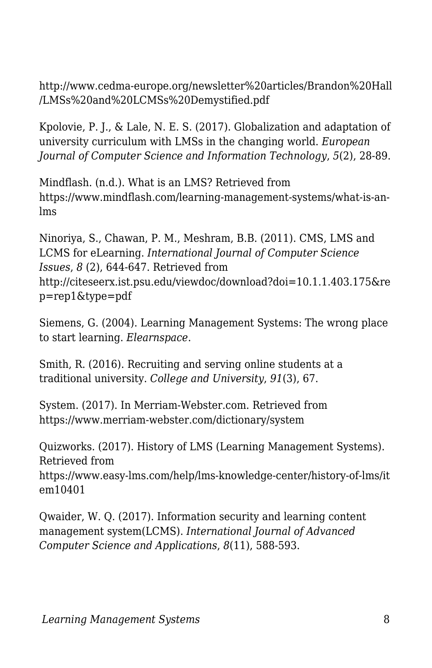http://www.cedma-europe.org/newsletter%20articles/Brandon%20Hall /LMSs%20and%20LCMSs%20Demystified.pdf

Kpolovie, P. J., & Lale, N. E. S. (2017). Globalization and adaptation of university curriculum with LMSs in the changing world. *European Journal of Computer Science and Information Technology*, *5*(2), 28-89.

Mindflash. (n.d.). What is an LMS? Retrieved from https://www.mindflash.com/learning-management-systems/what-is-anlms

Ninoriya, S., Chawan, P. M., Meshram, B.B. (2011). CMS, LMS and LCMS for eLearning. *International Journal of Computer Science Issues*, *8* (2), 644-647. Retrieved from http://citeseerx.ist.psu.edu/viewdoc/download?doi=10.1.1.403.175&re p=rep1&type=pdf

Siemens, G. (2004). Learning Management Systems: The wrong place to start learning. *Elearnspace*.

Smith, R. (2016). Recruiting and serving online students at a traditional university. *College and University*, *91*(3), 67.

System. (2017). In Merriam-Webster.com. Retrieved from https://www.merriam-webster.com/dictionary/system

Quizworks. (2017). History of LMS (Learning Management Systems). Retrieved from https://www.easy-lms.com/help/lms-knowledge-center/history-of-lms/it em10401

Qwaider, W. Q. (2017). Information security and learning content management system(LCMS). *International Journal of Advanced Computer Science and Applications*, *8*(11), 588-593.